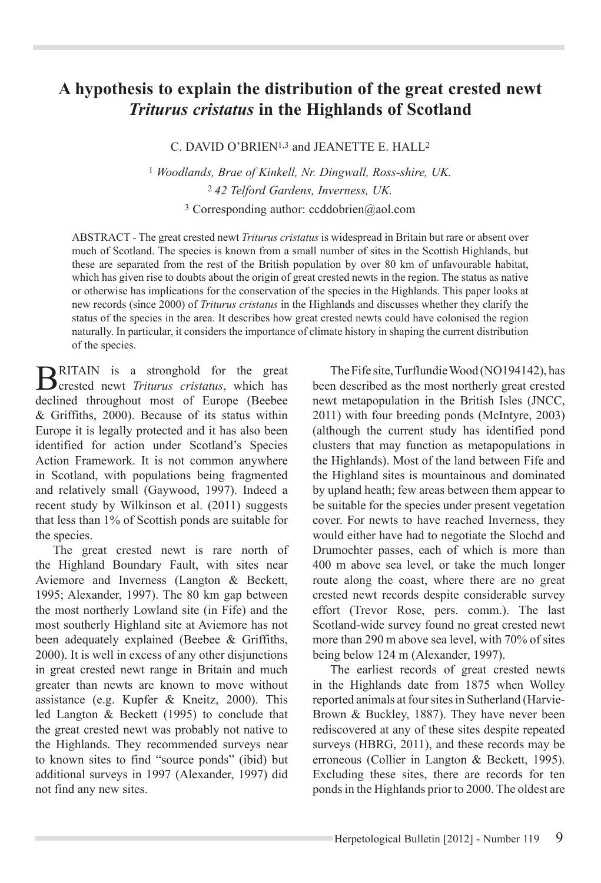# **A hypothesis to explain the distribution of the great crested newt**  *Triturus cristatus* **in the Highlands of Scotland**

C. DAVID O'BRIEN<sup>1,3</sup> and JEANETTE E. HALL<sup>2</sup>

<sup>1</sup> *Woodlands, Brae of Kinkell, Nr. Dingwall, Ross-shire, UK.* <sup>2</sup>*42 Telford Gardens, Inverness, UK.* 3 Corresponding author: ccddobrien@aol.com

ABSTRACT - The great crested newt *Triturus cristatus* is widespread in Britain but rare or absent over much of Scotland. The species is known from a small number of sites in the Scottish Highlands, but these are separated from the rest of the British population by over 80 km of unfavourable habitat, which has given rise to doubts about the origin of great crested newts in the region. The status as native or otherwise has implications for the conservation of the species in the Highlands. This paper looks at new records (since 2000) of *Triturus cristatus* in the Highlands and discusses whether they clarify the status of the species in the area. It describes how great crested newts could have colonised the region naturally. In particular, it considers the importance of climate history in shaping the current distribution of the species.

**B**RITAIN is a stronghold for the great crested newt *Triturus cristatus*, which has declined throughout most of Europe (Beebee & Griffiths, 2000). Because of its status within Europe it is legally protected and it has also been identified for action under Scotland's Species Action Framework. It is not common anywhere in Scotland, with populations being fragmented and relatively small (Gaywood, 1997). Indeed a recent study by Wilkinson et al. (2011) suggests that less than 1% of Scottish ponds are suitable for the species.

The great crested newt is rare north of the Highland Boundary Fault, with sites near Aviemore and Inverness (Langton & Beckett, 1995; Alexander, 1997). The 80 km gap between the most northerly Lowland site (in Fife) and the most southerly Highland site at Aviemore has not been adequately explained (Beebee & Griffiths, 2000). It is well in excess of any other disjunctions in great crested newt range in Britain and much greater than newts are known to move without assistance (e.g. Kupfer & Kneitz, 2000). This led Langton & Beckett (1995) to conclude that the great crested newt was probably not native to the Highlands. They recommended surveys near to known sites to find "source ponds" (ibid) but additional surveys in 1997 (Alexander, 1997) did not find any new sites.

The Fife site, Turflundie Wood (NO194142), has been described as the most northerly great crested newt metapopulation in the British Isles (JNCC, 2011) with four breeding ponds (McIntyre, 2003) (although the current study has identified pond clusters that may function as metapopulations in the Highlands). Most of the land between Fife and the Highland sites is mountainous and dominated by upland heath; few areas between them appear to be suitable for the species under present vegetation cover. For newts to have reached Inverness, they would either have had to negotiate the Slochd and Drumochter passes, each of which is more than 400 m above sea level, or take the much longer route along the coast, where there are no great crested newt records despite considerable survey effort (Trevor Rose, pers. comm.). The last Scotland-wide survey found no great crested newt more than 290 m above sea level, with 70% of sites being below 124 m (Alexander, 1997).

The earliest records of great crested newts in the Highlands date from 1875 when Wolley reported animals at four sites in Sutherland (Harvie-Brown & Buckley, 1887). They have never been rediscovered at any of these sites despite repeated surveys (HBRG, 2011), and these records may be erroneous (Collier in Langton & Beckett, 1995). Excluding these sites, there are records for ten ponds in the Highlands prior to 2000. The oldest are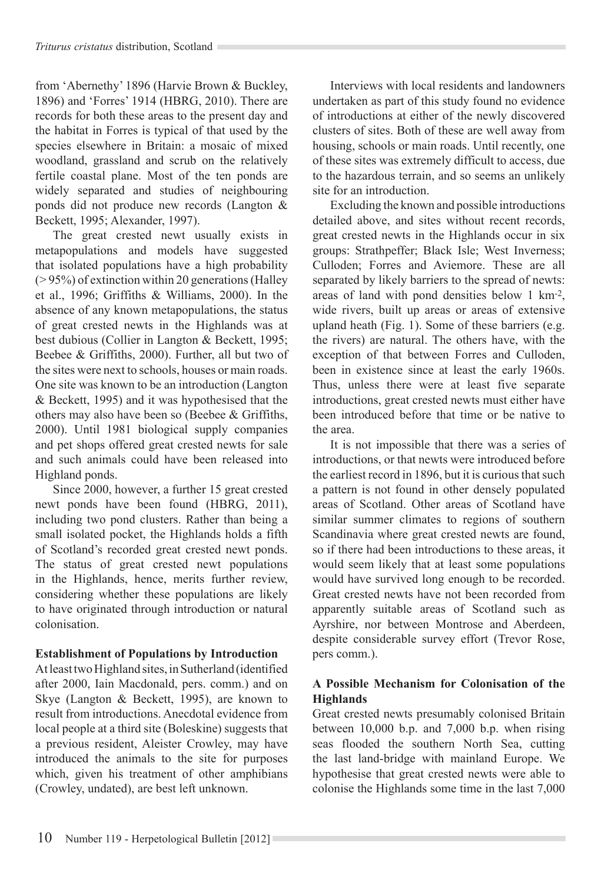from 'Abernethy' 1896 (Harvie Brown & Buckley, 1896) and 'Forres' 1914 (HBRG, 2010). There are records for both these areas to the present day and the habitat in Forres is typical of that used by the species elsewhere in Britain: a mosaic of mixed woodland, grassland and scrub on the relatively fertile coastal plane. Most of the ten ponds are widely separated and studies of neighbouring ponds did not produce new records (Langton & Beckett, 1995; Alexander, 1997).

The great crested newt usually exists in metapopulations and models have suggested that isolated populations have a high probability (> 95%) of extinction within 20 generations (Halley et al., 1996; Griffiths & Williams, 2000). In the absence of any known metapopulations, the status of great crested newts in the Highlands was at best dubious (Collier in Langton & Beckett, 1995; Beebee & Griffiths, 2000). Further, all but two of the sites were next to schools, houses or main roads. One site was known to be an introduction (Langton & Beckett, 1995) and it was hypothesised that the others may also have been so (Beebee & Griffiths, 2000). Until 1981 biological supply companies and pet shops offered great crested newts for sale and such animals could have been released into Highland ponds.

Since 2000, however, a further 15 great crested newt ponds have been found (HBRG, 2011), including two pond clusters. Rather than being a small isolated pocket, the Highlands holds a fifth of Scotland's recorded great crested newt ponds. The status of great crested newt populations in the Highlands, hence, merits further review, considering whether these populations are likely to have originated through introduction or natural colonisation.

## **Establishment of Populations by Introduction**

At least two Highland sites, in Sutherland (identified after 2000, Iain Macdonald, pers. comm.) and on Skye (Langton & Beckett, 1995), are known to result from introductions. Anecdotal evidence from local people at a third site (Boleskine) suggests that a previous resident, Aleister Crowley, may have introduced the animals to the site for purposes which, given his treatment of other amphibians (Crowley, undated), are best left unknown.

Interviews with local residents and landowners undertaken as part of this study found no evidence of introductions at either of the newly discovered clusters of sites. Both of these are well away from housing, schools or main roads. Until recently, one of these sites was extremely difficult to access, due to the hazardous terrain, and so seems an unlikely site for an introduction.

Excluding the known and possible introductions detailed above, and sites without recent records, great crested newts in the Highlands occur in six groups: Strathpeffer; Black Isle; West Inverness; Culloden; Forres and Aviemore. These are all separated by likely barriers to the spread of newts: areas of land with pond densities below 1 km-2, wide rivers, built up areas or areas of extensive upland heath (Fig. 1). Some of these barriers (e.g. the rivers) are natural. The others have, with the exception of that between Forres and Culloden, been in existence since at least the early 1960s. Thus, unless there were at least five separate introductions, great crested newts must either have been introduced before that time or be native to the area.

It is not impossible that there was a series of introductions, or that newts were introduced before the earliest record in 1896, but it is curious that such a pattern is not found in other densely populated areas of Scotland. Other areas of Scotland have similar summer climates to regions of southern Scandinavia where great crested newts are found, so if there had been introductions to these areas, it would seem likely that at least some populations would have survived long enough to be recorded. Great crested newts have not been recorded from apparently suitable areas of Scotland such as Ayrshire, nor between Montrose and Aberdeen, despite considerable survey effort (Trevor Rose, pers comm.).

## **A Possible Mechanism for Colonisation of the Highlands**

Great crested newts presumably colonised Britain between 10,000 b.p. and 7,000 b.p. when rising seas flooded the southern North Sea, cutting the last land-bridge with mainland Europe. We hypothesise that great crested newts were able to colonise the Highlands some time in the last 7,000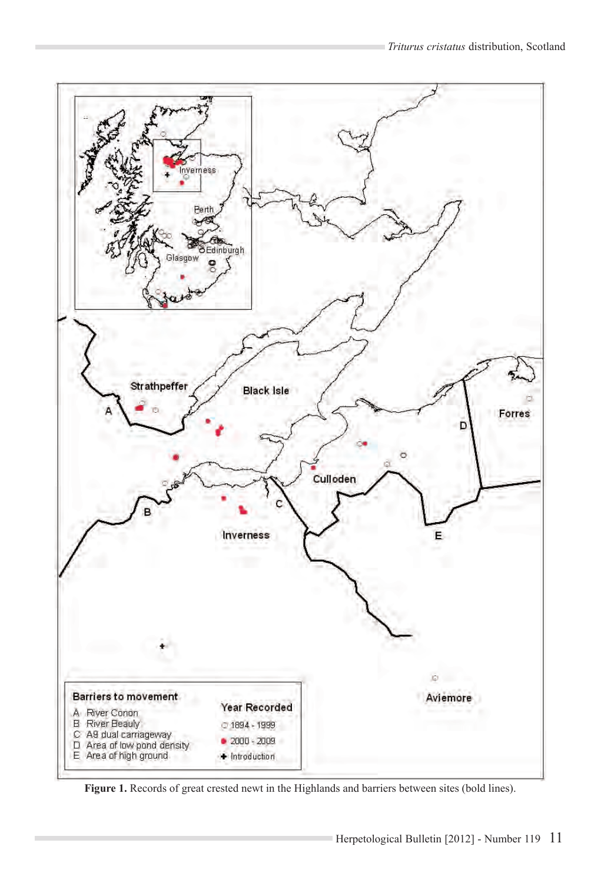

Figure 1. Records of great crested newt in the Highlands and barriers between sites (bold lines).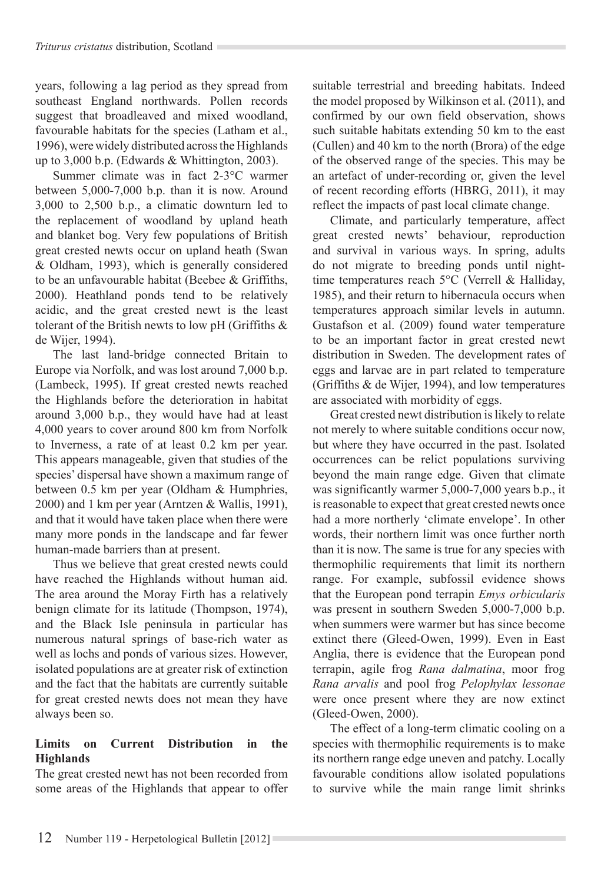years, following a lag period as they spread from southeast England northwards. Pollen records suggest that broadleaved and mixed woodland, favourable habitats for the species (Latham et al., 1996), were widely distributed across the Highlands up to 3,000 b.p. (Edwards & Whittington, 2003).

Summer climate was in fact 2-3°C warmer between 5,000-7,000 b.p. than it is now. Around 3,000 to 2,500 b.p., a climatic downturn led to the replacement of woodland by upland heath and blanket bog. Very few populations of British great crested newts occur on upland heath (Swan & Oldham, 1993), which is generally considered to be an unfavourable habitat (Beebee & Griffiths, 2000). Heathland ponds tend to be relatively acidic, and the great crested newt is the least tolerant of the British newts to low pH (Griffiths & de Wijer, 1994).

The last land-bridge connected Britain to Europe via Norfolk, and was lost around 7,000 b.p. (Lambeck, 1995). If great crested newts reached the Highlands before the deterioration in habitat around 3,000 b.p., they would have had at least 4,000 years to cover around 800 km from Norfolk to Inverness, a rate of at least 0.2 km per year. This appears manageable, given that studies of the species' dispersal have shown a maximum range of between 0.5 km per year (Oldham & Humphries, 2000) and 1 km per year (Arntzen & Wallis, 1991), and that it would have taken place when there were many more ponds in the landscape and far fewer human-made barriers than at present.

Thus we believe that great crested newts could have reached the Highlands without human aid. The area around the Moray Firth has a relatively benign climate for its latitude (Thompson, 1974), and the Black Isle peninsula in particular has numerous natural springs of base-rich water as well as lochs and ponds of various sizes. However, isolated populations are at greater risk of extinction and the fact that the habitats are currently suitable for great crested newts does not mean they have always been so.

## **Limits on Current Distribution in the Highlands**

The great crested newt has not been recorded from some areas of the Highlands that appear to offer suitable terrestrial and breeding habitats. Indeed the model proposed by Wilkinson et al. (2011), and confirmed by our own field observation, shows such suitable habitats extending 50 km to the east (Cullen) and 40 km to the north (Brora) of the edge of the observed range of the species. This may be an artefact of under-recording or, given the level of recent recording efforts (HBRG, 2011), it may reflect the impacts of past local climate change.

Climate, and particularly temperature, affect great crested newts' behaviour, reproduction and survival in various ways. In spring, adults do not migrate to breeding ponds until nighttime temperatures reach 5°C (Verrell & Halliday, 1985), and their return to hibernacula occurs when temperatures approach similar levels in autumn. Gustafson et al. (2009) found water temperature to be an important factor in great crested newt distribution in Sweden. The development rates of eggs and larvae are in part related to temperature (Griffiths & de Wijer, 1994), and low temperatures are associated with morbidity of eggs.

Great crested newt distribution is likely to relate not merely to where suitable conditions occur now, but where they have occurred in the past. Isolated occurrences can be relict populations surviving beyond the main range edge. Given that climate was significantly warmer 5,000-7,000 years b.p., it is reasonable to expect that great crested newts once had a more northerly 'climate envelope'. In other words, their northern limit was once further north than it is now. The same is true for any species with thermophilic requirements that limit its northern range. For example, subfossil evidence shows that the European pond terrapin *Emys orbicularis* was present in southern Sweden 5,000-7,000 b.p. when summers were warmer but has since become extinct there (Gleed-Owen, 1999). Even in East Anglia, there is evidence that the European pond terrapin, agile frog *Rana dalmatina*, moor frog *Rana arvalis* and pool frog *Pelophylax lessonae* were once present where they are now extinct (Gleed-Owen, 2000).

The effect of a long-term climatic cooling on a species with thermophilic requirements is to make its northern range edge uneven and patchy. Locally favourable conditions allow isolated populations to survive while the main range limit shrinks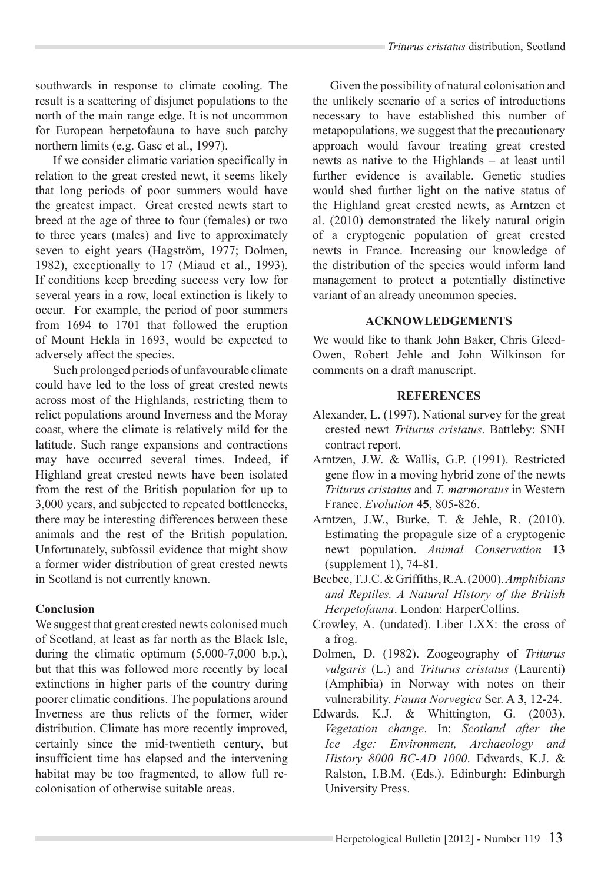southwards in response to climate cooling. The result is a scattering of disjunct populations to the north of the main range edge. It is not uncommon for European herpetofauna to have such patchy northern limits (e.g. Gasc et al., 1997).

If we consider climatic variation specifically in relation to the great crested newt, it seems likely that long periods of poor summers would have the greatest impact. Great crested newts start to breed at the age of three to four (females) or two to three years (males) and live to approximately seven to eight years (Hagström, 1977; Dolmen, 1982), exceptionally to 17 (Miaud et al., 1993). If conditions keep breeding success very low for several years in a row, local extinction is likely to occur. For example, the period of poor summers from 1694 to 1701 that followed the eruption of Mount Hekla in 1693, would be expected to adversely affect the species.

Such prolonged periods of unfavourable climate could have led to the loss of great crested newts across most of the Highlands, restricting them to relict populations around Inverness and the Moray coast, where the climate is relatively mild for the latitude. Such range expansions and contractions may have occurred several times. Indeed, if Highland great crested newts have been isolated from the rest of the British population for up to 3,000 years, and subjected to repeated bottlenecks, there may be interesting differences between these animals and the rest of the British population. Unfortunately, subfossil evidence that might show a former wider distribution of great crested newts in Scotland is not currently known.

### **Conclusion**

We suggest that great crested newts colonised much of Scotland, at least as far north as the Black Isle, during the climatic optimum  $(5,000-7,000)$  b.p.), but that this was followed more recently by local extinctions in higher parts of the country during poorer climatic conditions. The populations around Inverness are thus relicts of the former, wider distribution. Climate has more recently improved, certainly since the mid-twentieth century, but insufficient time has elapsed and the intervening habitat may be too fragmented, to allow full recolonisation of otherwise suitable areas.

Given the possibility of natural colonisation and the unlikely scenario of a series of introductions necessary to have established this number of metapopulations, we suggest that the precautionary approach would favour treating great crested newts as native to the Highlands – at least until further evidence is available. Genetic studies would shed further light on the native status of the Highland great crested newts, as Arntzen et al. (2010) demonstrated the likely natural origin of a cryptogenic population of great crested newts in France. Increasing our knowledge of the distribution of the species would inform land management to protect a potentially distinctive variant of an already uncommon species.

### **ACKNOWLEDGEMENTS**

We would like to thank John Baker, Chris Gleed-Owen, Robert Jehle and John Wilkinson for comments on a draft manuscript.

### **REFERENCES**

- Alexander, L. (1997). National survey for the great crested newt *Triturus cristatus*. Battleby: SNH contract report.
- Arntzen, J.W. & Wallis, G.P. (1991). Restricted gene flow in a moving hybrid zone of the newts *Triturus cristatus* and *T. marmoratus* in Western France. *Evolution* **45**, 805-826.
- Arntzen, J.W., Burke, T. & Jehle, R. (2010). Estimating the propagule size of a cryptogenic newt population. *Animal Conservation* **13** (supplement 1), 74-81.
- Beebee, T.J.C. & Griffiths, R.A. (2000). *Amphibians and Reptiles. A Natural History of the British Herpetofauna*. London: HarperCollins.
- Crowley, A. (undated). Liber LXX: the cross of a frog.
- Dolmen, D. (1982). Zoogeography of *Triturus vulgaris* (L.) and *Triturus cristatus* (Laurenti) (Amphibia) in Norway with notes on their vulnerability. *Fauna Norvegica* Ser. A **3**, 12-24.
- Edwards, K.J. & Whittington, G. (2003). *Vegetation change*. In: *Scotland after the Ice Age: Environment, Archaeology and History 8000 BC-AD 1000*. Edwards, K.J. & Ralston, I.B.M. (Eds.). Edinburgh: Edinburgh University Press.